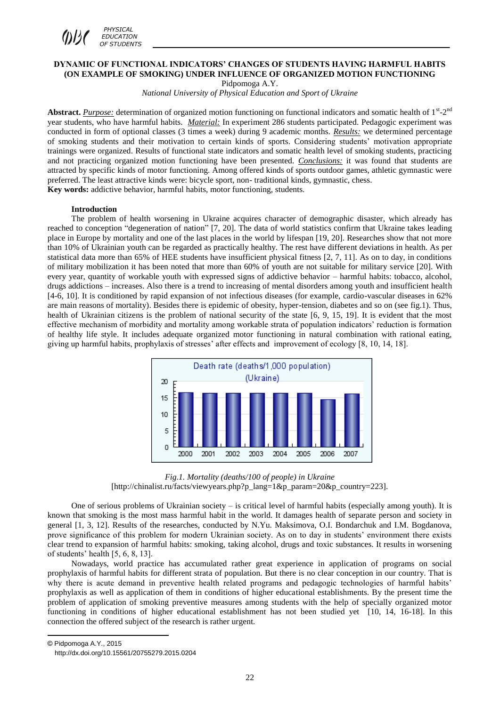

# **DYNAMIC OF FUNCTIONAL INDICATORS' CHANGES OF STUDENTS HAVING HARMFUL HABITS (ON EXAMPLE OF SMOKING) UNDER INFLUENCE OF ORGANIZED MOTION FUNCTIONING**

Pidpomoga A.Y.

*National University of Physical Education and Sport of Ukraine*

Abstract. *Purpose:* determination of organized motion functioning on functional indicators and somatic health of  $1<sup>st</sup> - 2<sup>nd</sup>$ year students, who have harmful habits. *Material:* In experiment 286 students participated. Pedagogic experiment was conducted in form of optional classes (3 times a week) during 9 academic months. *Results:* we determined percentage of smoking students and their motivation to certain kinds of sports. Considering students' motivation appropriate trainings were organized. Results of functional state indicators and somatic health level of smoking students, practicing and not practicing organized motion functioning have been presented. *Conclusions:* it was found that students are attracted by specific kinds of motor functioning. Among offered kinds of sports outdoor games, athletic gymnastic were preferred. The least attractive kinds were: bicycle sport, non- traditional kinds, gymnastic, chess. **Key words:** addictive behavior, harmful habits, motor functioning, students.

#### **Introduction**

The problem of health worsening in Ukraine acquires character of demographic disaster, which already has reached to conception "degeneration of nation" [7, 20]. The data of world statistics confirm that Ukraine takes leading place in Europe by mortality and one of the last places in the world by lifespan [19, 20]. Researches show that not more than 10% of Ukrainian youth can be regarded as practically healthy. The rest have different deviations in health. As per statistical data more than 65% of HEE students have insufficient physical fitness [2, 7, 11]. As on to day, in conditions of military mobilization it has been noted that more than 60% of youth are not suitable for military service [20]. With every year, quantity of workable youth with expressed signs of addictive behavior – harmful habits: tobacco, alcohol, drugs addictions – increases. Also there is a trend to increasing of mental disorders among youth and insufficient health [4-6, 10]. It is conditioned by rapid expansion of not infectious diseases (for example, cardio-vascular diseases in 62% are main reasons of mortality). Besides there is epidemic of obesity, hyper-tension, diabetes and so on (see fig.1). Thus, health of Ukrainian citizens is the problem of national security of the state [6, 9, 15, 19]. It is evident that the most effective mechanism of morbidity and mortality among workable strata of population indicators' reduction is formation of healthy life style. It includes adequate organized motor functioning in natural combination with rational eating, giving up harmful habits, prophylaxis of stresses' after effects and improvement of ecology [8, 10, 14, 18].



*Fig.1. Mortality (deaths/100 of people) in Ukraine*  [http://chinalist.ru/facts/viewyears.php?p\_lang=1&p\_param=20&p\_country=223].

One of serious problems of Ukrainian society – is critical level of harmful habits (especially among youth). It is known that smoking is the most mass harmful habit in the world. It damages health of separate person and society in general [1, 3, 12]. Results of the researches, conducted by N.Yu. Maksimova, O.I. Bondarchuk and I.M. Bogdanova, prove significance of this problem for modern Ukrainian society. As on to day in students' environment there exists clear trend to expansion of harmful habits: smoking, taking alcohol, drugs and toxic substances. It results in worsening of students' health [5, 6, 8, 13].

Nowadays, world practice has accumulated rather great experience in application of programs on social prophylaxis of harmful habits for different strata of population. But there is no clear conception in our country. That is why there is acute demand in preventive health related programs and pedagogic technologies of harmful habits' prophylaxis as well as application of them in conditions of higher educational establishments. By the present time the problem of application of smoking preventive measures among students with the help of specially organized motor functioning in conditions of higher educational establishment has not been studied yet [10, 14, 16-18]. In this connection the offered subject of the research is rather urgent.

© Pidpomoga A.Y., 2015

**.** 

http://dx.doi.org/10.15561/20755279.2015.0204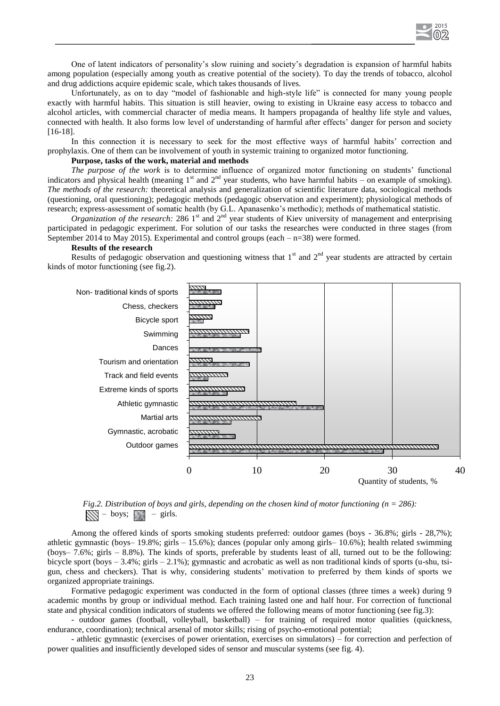

One of latent indicators of personality's slow ruining and society's degradation is expansion of harmful habits among population (especially among youth as creative potential of the society). To day the trends of tobacco, alcohol and drug addictions acquire epidemic scale, which takes thousands of lives.

Unfortunately, as on to day "model of fashionable and high-style life" is connected for many young people exactly with harmful habits. This situation is still heavier, owing to existing in Ukraine easy access to tobacco and alcohol articles, with commercial character of media means. It hampers propaganda of healthy life style and values, connected with health. It also forms low level of understanding of harmful after effects' danger for person and society [16-18].

In this connection it is necessary to seek for the most effective ways of harmful habits' correction and prophylaxis. One of them can be involvement of youth in systemic training to organized motor functioning.

#### **Purpose, tasks of the work, material and methods**

*The purpose of the work* is to determine influence of organized motor functioning on students' functional indicators and physical health (meaning  $1<sup>st</sup>$  and  $2<sup>nd</sup>$  year students, who have harmful habits – on example of smoking). *The methods of the research:* theoretical analysis and generalization of scientific literature data, sociological methods (questioning, oral questioning); pedagogic methods (pedagogic observation and experiment); physiological methods of research; express-assessment of somatic health (by G.L. Apanasenko's methodic); methods of mathematical statistic.

 $O$ *rganization of the research:* 286 1<sup>st</sup> and  $2^{nd}$  year students of Kiev university of management and enterprising participated in pedagogic experiment. For solution of our tasks the researches were conducted in three stages (from September 2014 to May 2015). Experimental and control groups (each  $-$  n=38) were formed.

#### **Results of the research**

Results of pedagogic observation and questioning witness that  $1<sup>st</sup>$  and  $2<sup>nd</sup>$  year students are attracted by certain kinds of motor functioning (see fig.2).





Among the offered kinds of sports smoking students preferred: outdoor games (boys - 36.8%; girls - 28,7%); athletic gymnastic (boys– 19.8%; girls – 15.6%); dances (popular only among girls– 10.6%); health related swimming (boys– 7.6%; girls – 8.8%). The kinds of sports, preferable by students least of all, turned out to be the following: bicycle sport (boys  $-3.4\%$ ; girls  $-2.1\%$ ); gymnastic and acrobatic as well as non traditional kinds of sports (u-shu, tsigun, chess and checkers). That is why, considering students' motivation to preferred by them kinds of sports we organized appropriate trainings.

Formative pedagogic experiment was conducted in the form of optional classes (three times a week) during 9 academic months by group or individual method. Each training lasted one and half hour. For correction of functional state and physical condition indicators of students we offered the following means of motor functioning (see fig.3):

- outdoor games (football, volleyball, basketball) – for training of required motor qualities (quickness, endurance, coordination); technical arsenal of motor skills; rising of psycho-emotional potential;

- athletic gymnastic (exercises of power orientation, exercises on simulators) – for correction and perfection of power qualities and insufficiently developed sides of sensor and muscular systems (see fig. 4).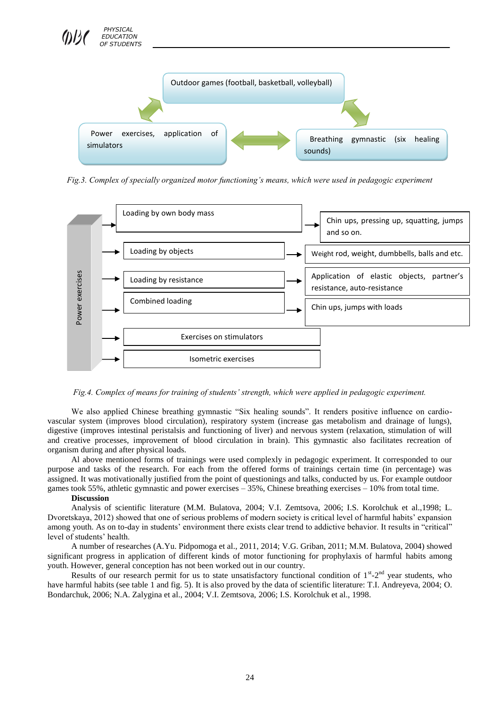

*Fig.3. Complex of specially organized motor functioning's means, which were used in pedagogic experiment* 



*Fig.4. Complex of means for training of students' strength, which were applied in pedagogic experiment.*

We also applied Chinese breathing gymnastic "Six healing sounds". It renders positive influence on cardiovascular system (improves blood circulation), respiratory system (increase gas metabolism and drainage of lungs), digestive (improves intestinal peristalsis and functioning of liver) and nervous system (relaxation, stimulation of will and creative processes, improvement of blood circulation in brain). This gymnastic also facilitates recreation of organism during and after physical loads.

Al above mentioned forms of trainings were used complexly in pedagogic experiment. It corresponded to our purpose and tasks of the research. For each from the offered forms of trainings certain time (in percentage) was assigned. It was motivationally justified from the point of questionings and talks, conducted by us. For example outdoor games took 55%, athletic gymnastic and power exercises – 35%, Chinese breathing exercises – 10% from total time.

#### **Discussion**

Analysis of scientific literature (M.M. Bulatova, 2004; V.I. Zemtsova, 2006; I.S. Korolchuk et al.,1998; L. Dvoretskaya, 2012) showed that one of serious problems of modern society is critical level of harmful habits' expansion among youth. As on to-day in students' environment there exists clear trend to addictive behavior. It results in "critical" level of students' health.

A number of researches (A.Yu. Pidpomoga et al., 2011, 2014; V.G. Griban, 2011; М.М. Bulatova, 2004) showed significant progress in application of different kinds of motor functioning for prophylaxis of harmful habits among youth. However, general conception has not been worked out in our country.

Results of our research permit for us to state unsatisfactory functional condition of  $1<sup>st</sup> - 2<sup>nd</sup>$  year students, who have harmful habits (see table 1 and fig. 5). It is also proved by the data of scientific literature: T.I. Andreyeva, 2004; O. Bondarchuk, 2006; N.A. Zalygina et al., 2004; V.I. Zemtsova, 2006; I.S. Korolchuk et al., 1998.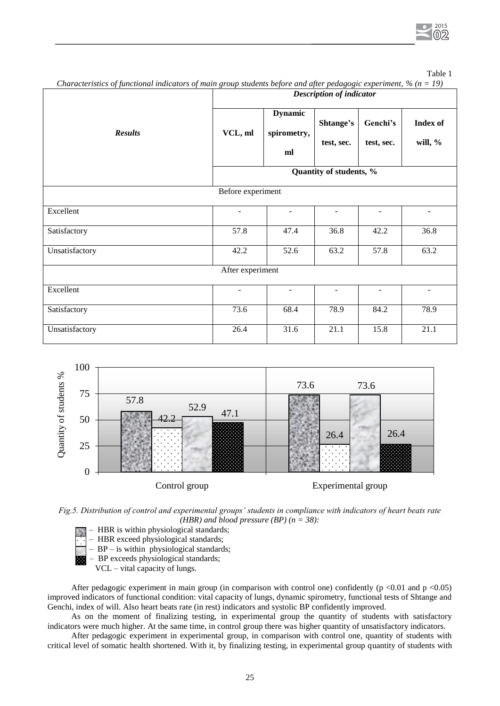Table 1

| JJ                | $\circ$<br><b>Description of indicator</b><br>$\sim$ $\sim$ |                                     |                         |                        |                               |
|-------------------|-------------------------------------------------------------|-------------------------------------|-------------------------|------------------------|-------------------------------|
| <b>Results</b>    | VCL, ml                                                     | <b>Dynamic</b><br>spirometry,<br>ml | Shtange's<br>test, sec. | Genchi's<br>test, sec. | <b>Index of</b><br>will, $\%$ |
|                   | Quantity of students, %                                     |                                     |                         |                        |                               |
| Before experiment |                                                             |                                     |                         |                        |                               |
| Excellent         |                                                             | $\overline{\phantom{0}}$            | ٠                       | $\blacksquare$         |                               |
| Satisfactory      | 57.8                                                        | 47.4                                | 36.8                    | 42.2                   | 36.8                          |
| Unsatisfactory    | 42.2                                                        | 52.6                                | 63.2                    | 57.8                   | 63.2                          |
| After experiment  |                                                             |                                     |                         |                        |                               |
| Excellent         | $\sim$                                                      |                                     | ٠                       | ÷.                     | $\blacksquare$                |
| Satisfactory      | 73.6                                                        | 68.4                                | 78.9                    | 84.2                   | 78.9                          |
| Unsatisfactory    | 26.4                                                        | 31.6                                | 21.1                    | 15.8                   | $\overline{21.1}$             |

*Characteristics of functional indicators of main group students before and after pedagogic experiment, % (n = 19)*





- HBR is within physiological standards;
- HBR exceed physiological standards;
- BP is within physiological standards;
- BP exceeds physiological standards;
	- VCL vital capacity of lungs.

After pedagogic experiment in main group (in comparison with control one) confidently ( $p \le 0.01$  and  $p \le 0.05$ ) improved indicators of functional condition: vital capacity of lungs, dynamic spirometry, functional tests of Shtange and Genchi, index of will. Also heart beats rate (in rest) indicators and systolic BP confidently improved.

As on the moment of finalizing testing, in experimental group the quantity of students with satisfactory indicators were much higher. At the same time, in control group there was higher quantity of unsatisfactory indicators.

After pedagogic experiment in experimental group, in comparison with control one, quantity of students with critical level of somatic health shortened. With it, by finalizing testing, in experimental group quantity of students with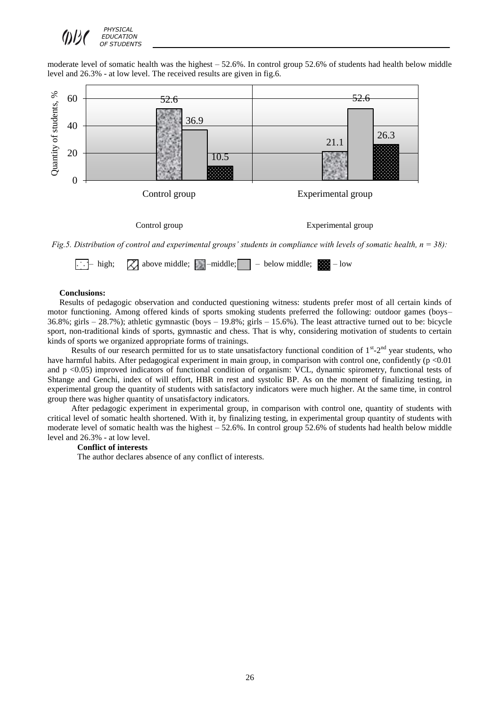

moderate level of somatic health was the highest – 52.6%. In control group 52.6% of students had health below middle level and 26.3% - at low level. The received results are given in fig.6.



#### **Conclusions:**

Results of pedagogic observation and conducted questioning witness: students prefer most of all certain kinds of motor functioning. Among offered kinds of sports smoking students preferred the following: outdoor games (boys– 36.8%; girls – 28.7%); athletic gymnastic (boys – 19.8%; girls – 15.6%). The least attractive turned out to be: bicycle sport, non-traditional kinds of sports, gymnastic and chess. That is why, considering motivation of students to certain kinds of sports we organized appropriate forms of trainings.

Results of our research permitted for us to state unsatisfactory functional condition of 1<sup>st</sup>-2<sup>nd</sup> year students, who have harmful habits. After pedagogical experiment in main group, in comparison with control one, confidently  $(p \le 0.01)$ and p <0.05) improved indicators of functional condition of organism: VCL, dynamic spirometry, functional tests of Shtange and Genchi, index of will effort, HBR in rest and systolic BP. As on the moment of finalizing testing, in experimental group the quantity of students with satisfactory indicators were much higher. At the same time, in control group there was higher quantity of unsatisfactory indicators.

After pedagogic experiment in experimental group, in comparison with control one, quantity of students with critical level of somatic health shortened. With it, by finalizing testing, in experimental group quantity of students with moderate level of somatic health was the highest – 52.6%. In control group 52.6% of students had health below middle level and 26.3% - at low level.

## **Conflict of interests**

The author declares absence of any conflict of interests.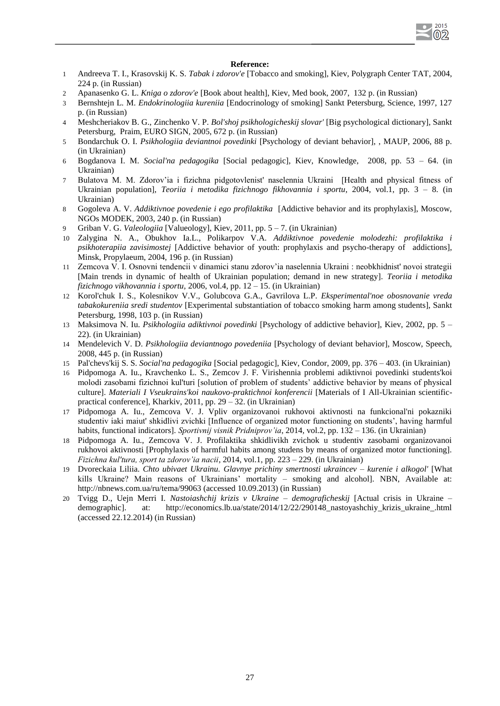## 2015 02

## **Reference:**

- 1 Andreeva T. I., Krasovskij K. S. *Tabak i zdorov'e* [Tobacco and smoking], Kiev, Polygraph Center TAT, 2004, 224 p. (in Russian)
- 2 Apanasenko G. L. *Kniga o zdorov'e* [Book about health], Kiev, Med book, 2007, 132 p. (in Russian)
- 3 Bernshtejn L. M. *Endokrinologiia kureniia* [Endocrinology of smoking] Sankt Petersburg, Science, 1997, 127 p. (in Russian)
- 4 Meshcheriakov B. G., Zinchenko V. P. *Bol'shoj psikhologicheskij slovar'* [Big psychological dictionary], Sankt Petersburg, Praim, EURO SIGN, 2005, 672 p. (in Russian)
- 5 Bondarchuk O. I. *Psikhologiia deviantnoi povedinki* [Psychology of deviant behavior], , MAUP, 2006, 88 p. (in Ukrainian)
- 6 Bogdanova I. M. *Social'na pedagogika* [Social pedagogic], Kiev, Knowledge, 2008, pp. 53 64. (in Ukrainian)
- 7 Bulatova M. M. Zdorov'ia i fizichna pidgotovlenist' naselennia Ukraini [Health and physical fitness of Ukrainian population], *Teoriia i metodika fizichnogo fikhovannia i sportu*, 2004, vol.1, pp. 3 – 8. (in Ukrainian)
- 8 Gogoleva A. V. *Addiktivnoe povedenie i ego profilaktika* [Addictive behavior and its prophylaxis], Moscow, NGOs MODEK, 2003, 240 p. (in Russian)
- 9 Griban V. G. *Valeologiia* [Valueology], Kiev, 2011, pp. 5 7. (in Ukrainian)
- 10 Zalygina N. A., Obukhov Ia.L., Polikarpov V.A. *Addiktivnoe povedenie molodezhi: profilaktika i psikhoterapiia zavisimostej* [Addictive behavior of youth: prophylaxis and psycho-therapy of addictions], Minsk, Propylaeum, 2004, 196 p. (in Russian)
- 11 Zemcova V. I. Osnovni tendencii v dinamici stanu zdorov'ia naselennia Ukraini : neobkhidnist' novoi strategii [Main trends in dynamic of health of Ukrainian population; demand in new strategy]. *Teoriia i metodika fizichnogo vikhovannia i sportu,* 2006, vol.4, pp. 12 – 15. (in Ukrainian)
- 12 Korol'chuk I. S., Kolesnikov V.V., Golubcova G.A., Gavrilova L.P. *Eksperimental'noe obosnovanie vreda tabakokureniia sredi studentov* [Experimental substantiation of tobacco smoking harm among students], Sankt Petersburg, 1998, 103 p. (in Russian)
- 13 Maksimova N. Iu. *Psikhologiia adiktivnoi povedinki* [Psychology of addictive behavior], Kiev, 2002, pp. 5 22). (in Ukrainian)
- 14 Mendelevich V. D. *Psikhologiia deviantnogo povedeniia* [Psychology of deviant behavior], Moscow, Speech, 2008, 445 p. (in Russian)
- 15 Pal'chevs'kij S. S. *Social'na pedagogika* [Social pedagogic], Kiev, Condor, 2009, pp. 376 403. (in Ukrainian)
- 16 Pidpomoga A. Iu., Kravchenko L. S., Zemcov J. F. Virishennia problemi adiktivnoi povedinki students'koi molodi zasobami fizichnoi kul'turi [solution of problem of students' addictive behavior by means of physical culture]. *Materiali I Vseukrains'koi naukovo-praktichnoi konferencii* [Materials of I All-Ukrainian scientificpractical conference], Kharkiv, 2011, pp. 29 – 32. (in Ukrainian)
- 17 Pidpomoga A. Iu., Zemcova V. J. Vpliv organizovanoi rukhovoi aktivnosti na funkcional'ni pokazniki studentiv iaki maiut' shkidlivi zvichki [Influence of organized motor functioning on students', having harmful habits, functional indicators]. *Sportivnij visnik Pridniprov'ia*, 2014, vol.2, pp. 132 – 136. (in Ukrainian)
- 18 Pidpomoga A. Iu., Zemcova V. J. Profilaktika shkidlivikh zvichok u studentiv zasobami organizovanoi rukhovoi aktivnosti [Prophylaxis of harmful habits among studens by means of organized motor functioning]. *Fizichna kul'tura, sport ta zdorov'ia nacii*, 2014, vol.1, pp. 223 – 229. (in Ukrainian)
- 19 Dvoreckaia Liliia. *Chto ubivaet Ukrainu. Glavnye prichiny smertnosti ukraincev – kurenie i alkogol'* [What kills Ukraine? Main reasons of Ukrainians' mortality – smoking and alcohol]. NBN, Available at: http://nbnews.com.ua/ru/tema/99063 (accessed 10.09.2013) (in Russian)
- 20 Tvigg D., Uejn Merri I. *Nastoiashchij krizis v Ukraine – demograficheskij* [Actual crisis in Ukraine demographic]. at: http://economics.lb.ua/state/2014/12/22/290148 nastoyashchiy krizis ukraine.html (accessed 22.12.2014) (in Russian)